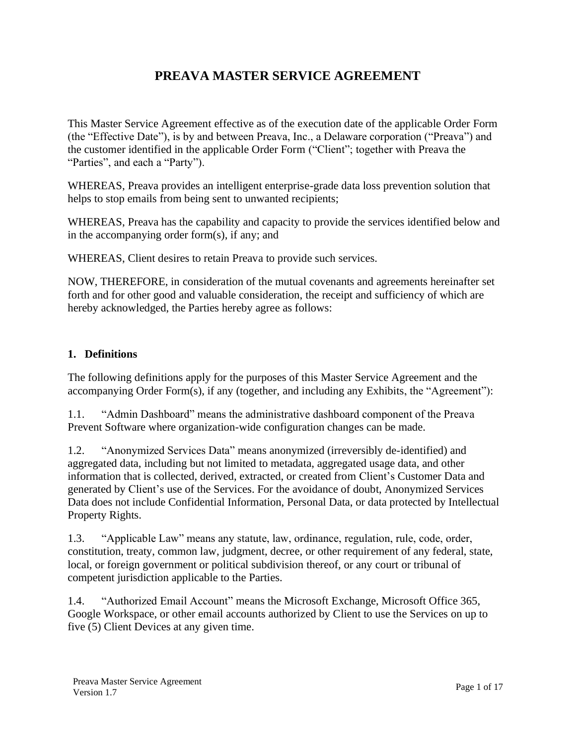# **PREAVA MASTER SERVICE AGREEMENT**

This Master Service Agreement effective as of the execution date of the applicable Order Form (the "Effective Date"), is by and between Preava, Inc., a Delaware corporation ("Preava") and the customer identified in the applicable Order Form ("Client"; together with Preava the "Parties", and each a "Party").

WHEREAS, Preava provides an intelligent enterprise-grade data loss prevention solution that helps to stop emails from being sent to unwanted recipients;

WHEREAS, Preava has the capability and capacity to provide the services identified below and in the accompanying order form(s), if any; and

WHEREAS, Client desires to retain Preava to provide such services.

NOW, THEREFORE, in consideration of the mutual covenants and agreements hereinafter set forth and for other good and valuable consideration, the receipt and sufficiency of which are hereby acknowledged, the Parties hereby agree as follows:

#### **1. Definitions**

The following definitions apply for the purposes of this Master Service Agreement and the accompanying Order Form(s), if any (together, and including any Exhibits, the "Agreement"):

1.1. "Admin Dashboard" means the administrative dashboard component of the Preava Prevent Software where organization-wide configuration changes can be made.

1.2. "Anonymized Services Data" means anonymized (irreversibly de-identified) and aggregated data, including but not limited to metadata, aggregated usage data, and other information that is collected, derived, extracted, or created from Client's Customer Data and generated by Client's use of the Services. For the avoidance of doubt, Anonymized Services Data does not include Confidential Information, Personal Data, or data protected by Intellectual Property Rights.

1.3. "Applicable Law" means any statute, law, ordinance, regulation, rule, code, order, constitution, treaty, common law, judgment, decree, or other requirement of any federal, state, local, or foreign government or political subdivision thereof, or any court or tribunal of competent jurisdiction applicable to the Parties.

1.4. "Authorized Email Account" means the Microsoft Exchange, Microsoft Office 365, Google Workspace, or other email accounts authorized by Client to use the Services on up to five (5) Client Devices at any given time.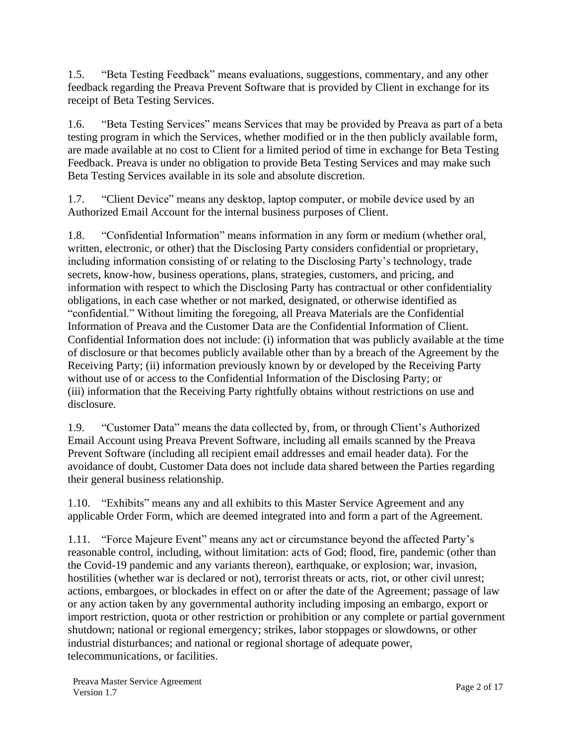1.5. "Beta Testing Feedback" means evaluations, suggestions, commentary, and any other feedback regarding the Preava Prevent Software that is provided by Client in exchange for its receipt of Beta Testing Services.

1.6. "Beta Testing Services" means Services that may be provided by Preava as part of a beta testing program in which the Services, whether modified or in the then publicly available form, are made available at no cost to Client for a limited period of time in exchange for Beta Testing Feedback. Preava is under no obligation to provide Beta Testing Services and may make such Beta Testing Services available in its sole and absolute discretion.

1.7. "Client Device" means any desktop, laptop computer, or mobile device used by an Authorized Email Account for the internal business purposes of Client.

1.8. "Confidential Information" means information in any form or medium (whether oral, written, electronic, or other) that the Disclosing Party considers confidential or proprietary, including information consisting of or relating to the Disclosing Party's technology, trade secrets, know-how, business operations, plans, strategies, customers, and pricing, and information with respect to which the Disclosing Party has contractual or other confidentiality obligations, in each case whether or not marked, designated, or otherwise identified as "confidential." Without limiting the foregoing, all Preava Materials are the Confidential Information of Preava and the Customer Data are the Confidential Information of Client. Confidential Information does not include: (i) information that was publicly available at the time of disclosure or that becomes publicly available other than by a breach of the Agreement by the Receiving Party; (ii) information previously known by or developed by the Receiving Party without use of or access to the Confidential Information of the Disclosing Party; or (iii) information that the Receiving Party rightfully obtains without restrictions on use and disclosure.

1.9. "Customer Data" means the data collected by, from, or through Client's Authorized Email Account using Preava Prevent Software, including all emails scanned by the Preava Prevent Software (including all recipient email addresses and email header data). For the avoidance of doubt, Customer Data does not include data shared between the Parties regarding their general business relationship.

1.10. "Exhibits" means any and all exhibits to this Master Service Agreement and any applicable Order Form, which are deemed integrated into and form a part of the Agreement.

1.11. "Force Majeure Event" means any act or circumstance beyond the affected Party's reasonable control, including, without limitation: acts of God; flood, fire, pandemic (other than the Covid-19 pandemic and any variants thereon), earthquake, or explosion; war, invasion, hostilities (whether war is declared or not), terrorist threats or acts, riot, or other civil unrest; actions, embargoes, or blockades in effect on or after the date of the Agreement; passage of law or any action taken by any governmental authority including imposing an embargo, export or import restriction, quota or other restriction or prohibition or any complete or partial government shutdown; national or regional emergency; strikes, labor stoppages or slowdowns, or other industrial disturbances; and national or regional shortage of adequate power, telecommunications, or facilities.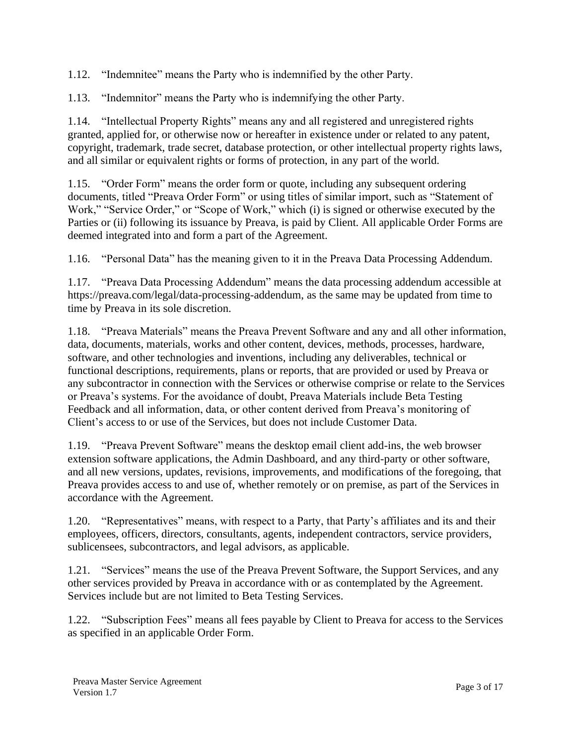1.12. "Indemnitee" means the Party who is indemnified by the other Party.

1.13. "Indemnitor" means the Party who is indemnifying the other Party.

1.14. "Intellectual Property Rights" means any and all registered and unregistered rights granted, applied for, or otherwise now or hereafter in existence under or related to any patent, copyright, trademark, trade secret, database protection, or other intellectual property rights laws, and all similar or equivalent rights or forms of protection, in any part of the world.

1.15. "Order Form" means the order form or quote, including any subsequent ordering documents, titled "Preava Order Form" or using titles of similar import, such as "Statement of Work," "Service Order," or "Scope of Work," which (i) is signed or otherwise executed by the Parties or (ii) following its issuance by Preava, is paid by Client. All applicable Order Forms are deemed integrated into and form a part of the Agreement.

1.16. "Personal Data" has the meaning given to it in the Preava Data Processing Addendum.

1.17. "Preava Data Processing Addendum" means the data processing addendum accessible at https://preava.com/legal/data-processing-addendum, as the same may be updated from time to time by Preava in its sole discretion.

1.18. "Preava Materials" means the Preava Prevent Software and any and all other information, data, documents, materials, works and other content, devices, methods, processes, hardware, software, and other technologies and inventions, including any deliverables, technical or functional descriptions, requirements, plans or reports, that are provided or used by Preava or any subcontractor in connection with the Services or otherwise comprise or relate to the Services or Preava's systems. For the avoidance of doubt, Preava Materials include Beta Testing Feedback and all information, data, or other content derived from Preava's monitoring of Client's access to or use of the Services, but does not include Customer Data.

1.19. "Preava Prevent Software" means the desktop email client add-ins, the web browser extension software applications, the Admin Dashboard, and any third-party or other software, and all new versions, updates, revisions, improvements, and modifications of the foregoing, that Preava provides access to and use of, whether remotely or on premise, as part of the Services in accordance with the Agreement.

1.20. "Representatives" means, with respect to a Party, that Party's affiliates and its and their employees, officers, directors, consultants, agents, independent contractors, service providers, sublicensees, subcontractors, and legal advisors, as applicable.

1.21. "Services" means the use of the Preava Prevent Software, the Support Services, and any other services provided by Preava in accordance with or as contemplated by the Agreement. Services include but are not limited to Beta Testing Services.

1.22. "Subscription Fees" means all fees payable by Client to Preava for access to the Services as specified in an applicable Order Form.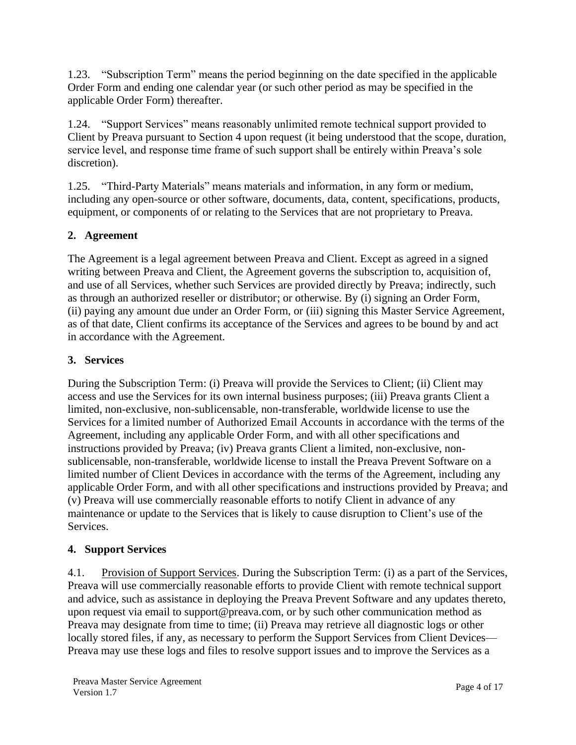1.23. "Subscription Term" means the period beginning on the date specified in the applicable Order Form and ending one calendar year (or such other period as may be specified in the applicable Order Form) thereafter.

1.24. "Support Services" means reasonably unlimited remote technical support provided to Client by Preava pursuant to Section 4 upon request (it being understood that the scope, duration, service level, and response time frame of such support shall be entirely within Preava's sole discretion).

1.25. "Third-Party Materials" means materials and information, in any form or medium, including any open-source or other software, documents, data, content, specifications, products, equipment, or components of or relating to the Services that are not proprietary to Preava.

# **2. Agreement**

The Agreement is a legal agreement between Preava and Client. Except as agreed in a signed writing between Preava and Client, the Agreement governs the subscription to, acquisition of, and use of all Services, whether such Services are provided directly by Preava; indirectly, such as through an authorized reseller or distributor; or otherwise. By (i) signing an Order Form, (ii) paying any amount due under an Order Form, or (iii) signing this Master Service Agreement, as of that date, Client confirms its acceptance of the Services and agrees to be bound by and act in accordance with the Agreement.

#### **3. Services**

During the Subscription Term: (i) Preava will provide the Services to Client; (ii) Client may access and use the Services for its own internal business purposes; (iii) Preava grants Client a limited, non-exclusive, non-sublicensable, non-transferable, worldwide license to use the Services for a limited number of Authorized Email Accounts in accordance with the terms of the Agreement, including any applicable Order Form, and with all other specifications and instructions provided by Preava; (iv) Preava grants Client a limited, non-exclusive, nonsublicensable, non-transferable, worldwide license to install the Preava Prevent Software on a limited number of Client Devices in accordance with the terms of the Agreement, including any applicable Order Form, and with all other specifications and instructions provided by Preava; and (v) Preava will use commercially reasonable efforts to notify Client in advance of any maintenance or update to the Services that is likely to cause disruption to Client's use of the Services.

#### **4. Support Services**

4.1. Provision of Support Services. During the Subscription Term: (i) as a part of the Services, Preava will use commercially reasonable efforts to provide Client with remote technical support and advice, such as assistance in deploying the Preava Prevent Software and any updates thereto, upon request via email to support@preava.com, or by such other communication method as Preava may designate from time to time; (ii) Preava may retrieve all diagnostic logs or other locally stored files, if any, as necessary to perform the Support Services from Client Devices— Preava may use these logs and files to resolve support issues and to improve the Services as a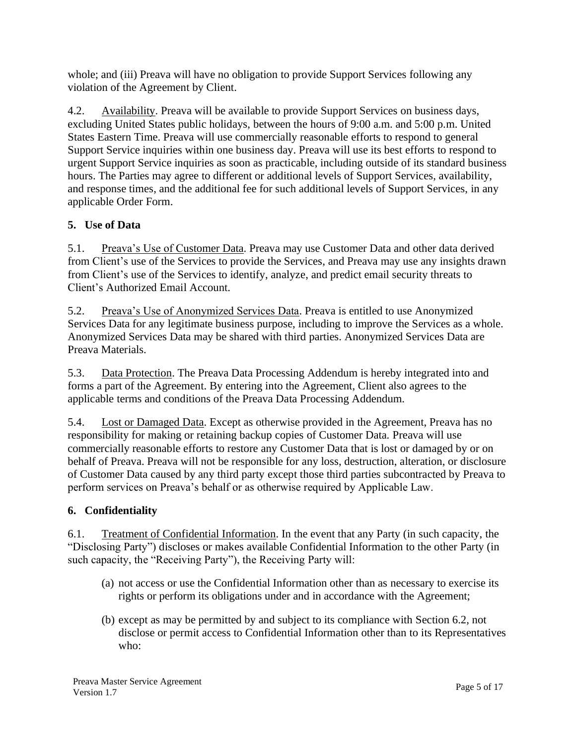whole; and (iii) Preava will have no obligation to provide Support Services following any violation of the Agreement by Client.

4.2. Availability. Preava will be available to provide Support Services on business days, excluding United States public holidays, between the hours of 9:00 a.m. and 5:00 p.m. United States Eastern Time. Preava will use commercially reasonable efforts to respond to general Support Service inquiries within one business day. Preava will use its best efforts to respond to urgent Support Service inquiries as soon as practicable, including outside of its standard business hours. The Parties may agree to different or additional levels of Support Services, availability, and response times, and the additional fee for such additional levels of Support Services, in any applicable Order Form.

# **5. Use of Data**

5.1. Preava's Use of Customer Data. Preava may use Customer Data and other data derived from Client's use of the Services to provide the Services, and Preava may use any insights drawn from Client's use of the Services to identify, analyze, and predict email security threats to Client's Authorized Email Account.

5.2. Preava's Use of Anonymized Services Data. Preava is entitled to use Anonymized Services Data for any legitimate business purpose, including to improve the Services as a whole. Anonymized Services Data may be shared with third parties. Anonymized Services Data are Preava Materials.

5.3. Data Protection. The Preava Data Processing Addendum is hereby integrated into and forms a part of the Agreement. By entering into the Agreement, Client also agrees to the applicable terms and conditions of the Preava Data Processing Addendum.

5.4. Lost or Damaged Data. Except as otherwise provided in the Agreement, Preava has no responsibility for making or retaining backup copies of Customer Data. Preava will use commercially reasonable efforts to restore any Customer Data that is lost or damaged by or on behalf of Preava. Preava will not be responsible for any loss, destruction, alteration, or disclosure of Customer Data caused by any third party except those third parties subcontracted by Preava to perform services on Preava's behalf or as otherwise required by Applicable Law.

# **6. Confidentiality**

6.1. Treatment of Confidential Information. In the event that any Party (in such capacity, the "Disclosing Party") discloses or makes available Confidential Information to the other Party (in such capacity, the "Receiving Party"), the Receiving Party will:

- (a) not access or use the Confidential Information other than as necessary to exercise its rights or perform its obligations under and in accordance with the Agreement;
- (b) except as may be permitted by and subject to its compliance with Section 6.2, not disclose or permit access to Confidential Information other than to its Representatives who: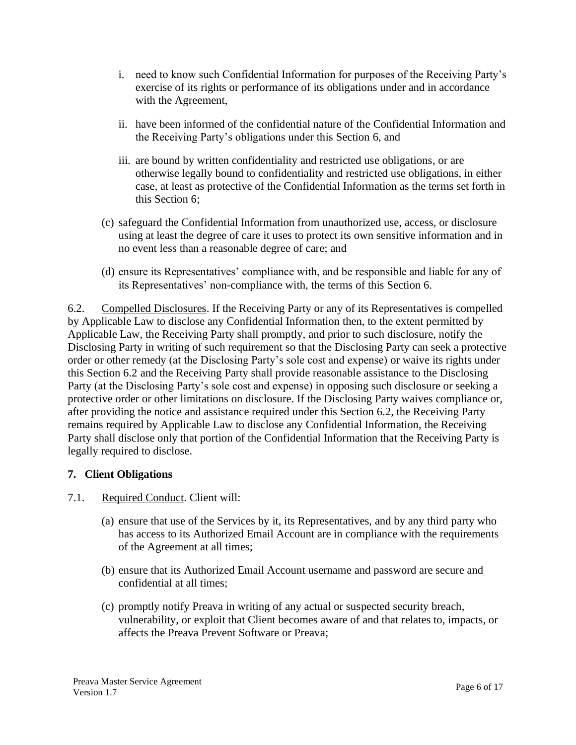- i. need to know such Confidential Information for purposes of the Receiving Party's exercise of its rights or performance of its obligations under and in accordance with the Agreement,
- ii. have been informed of the confidential nature of the Confidential Information and the Receiving Party's obligations under this Section 6, and
- iii. are bound by written confidentiality and restricted use obligations, or are otherwise legally bound to confidentiality and restricted use obligations, in either case, at least as protective of the Confidential Information as the terms set forth in this Section 6;
- (c) safeguard the Confidential Information from unauthorized use, access, or disclosure using at least the degree of care it uses to protect its own sensitive information and in no event less than a reasonable degree of care; and
- (d) ensure its Representatives' compliance with, and be responsible and liable for any of its Representatives' non-compliance with, the terms of this Section 6.

6.2. Compelled Disclosures. If the Receiving Party or any of its Representatives is compelled by Applicable Law to disclose any Confidential Information then, to the extent permitted by Applicable Law, the Receiving Party shall promptly, and prior to such disclosure, notify the Disclosing Party in writing of such requirement so that the Disclosing Party can seek a protective order or other remedy (at the Disclosing Party's sole cost and expense) or waive its rights under this Section 6.2 and the Receiving Party shall provide reasonable assistance to the Disclosing Party (at the Disclosing Party's sole cost and expense) in opposing such disclosure or seeking a protective order or other limitations on disclosure. If the Disclosing Party waives compliance or, after providing the notice and assistance required under this Section 6.2, the Receiving Party remains required by Applicable Law to disclose any Confidential Information, the Receiving Party shall disclose only that portion of the Confidential Information that the Receiving Party is legally required to disclose.

#### **7. Client Obligations**

#### 7.1. Required Conduct. Client will:

- (a) ensure that use of the Services by it, its Representatives, and by any third party who has access to its Authorized Email Account are in compliance with the requirements of the Agreement at all times;
- (b) ensure that its Authorized Email Account username and password are secure and confidential at all times;
- (c) promptly notify Preava in writing of any actual or suspected security breach, vulnerability, or exploit that Client becomes aware of and that relates to, impacts, or affects the Preava Prevent Software or Preava;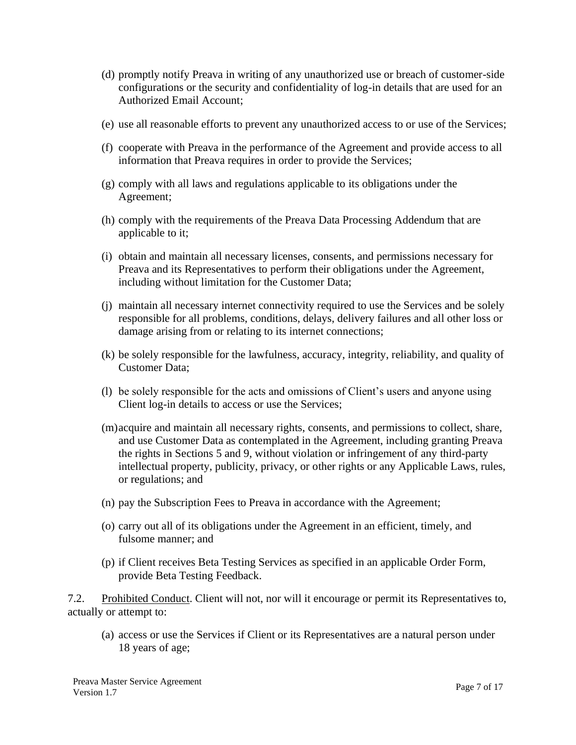- (d) promptly notify Preava in writing of any unauthorized use or breach of customer-side configurations or the security and confidentiality of log-in details that are used for an Authorized Email Account;
- (e) use all reasonable efforts to prevent any unauthorized access to or use of the Services;
- (f) cooperate with Preava in the performance of the Agreement and provide access to all information that Preava requires in order to provide the Services;
- (g) comply with all laws and regulations applicable to its obligations under the Agreement;
- (h) comply with the requirements of the Preava Data Processing Addendum that are applicable to it;
- (i) obtain and maintain all necessary licenses, consents, and permissions necessary for Preava and its Representatives to perform their obligations under the Agreement, including without limitation for the Customer Data;
- (j) maintain all necessary internet connectivity required to use the Services and be solely responsible for all problems, conditions, delays, delivery failures and all other loss or damage arising from or relating to its internet connections;
- (k) be solely responsible for the lawfulness, accuracy, integrity, reliability, and quality of Customer Data;
- (l) be solely responsible for the acts and omissions of Client's users and anyone using Client log-in details to access or use the Services;
- (m)acquire and maintain all necessary rights, consents, and permissions to collect, share, and use Customer Data as contemplated in the Agreement, including granting Preava the rights in Sections 5 and 9, without violation or infringement of any third-party intellectual property, publicity, privacy, or other rights or any Applicable Laws, rules, or regulations; and
- (n) pay the Subscription Fees to Preava in accordance with the Agreement;
- (o) carry out all of its obligations under the Agreement in an efficient, timely, and fulsome manner; and
- (p) if Client receives Beta Testing Services as specified in an applicable Order Form, provide Beta Testing Feedback.

7.2. Prohibited Conduct. Client will not, nor will it encourage or permit its Representatives to, actually or attempt to:

(a) access or use the Services if Client or its Representatives are a natural person under 18 years of age;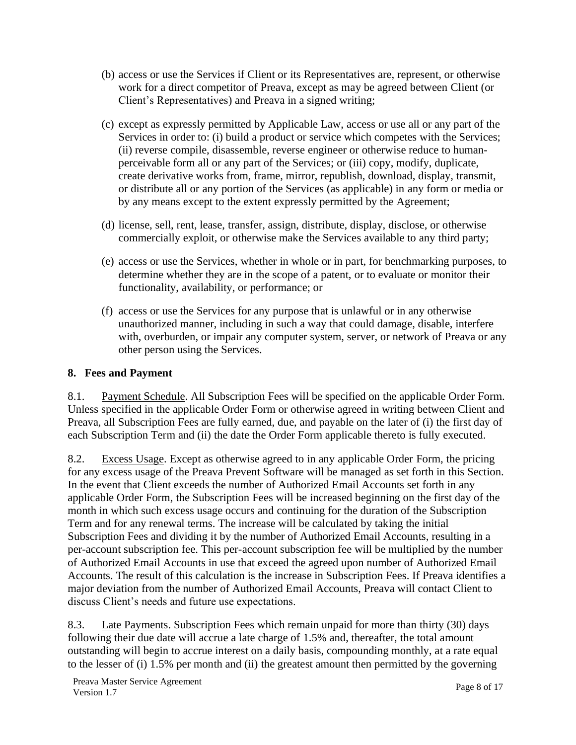- (b) access or use the Services if Client or its Representatives are, represent, or otherwise work for a direct competitor of Preava, except as may be agreed between Client (or Client's Representatives) and Preava in a signed writing;
- (c) except as expressly permitted by Applicable Law, access or use all or any part of the Services in order to: (i) build a product or service which competes with the Services; (ii) reverse compile, disassemble, reverse engineer or otherwise reduce to humanperceivable form all or any part of the Services; or (iii) copy, modify, duplicate, create derivative works from, frame, mirror, republish, download, display, transmit, or distribute all or any portion of the Services (as applicable) in any form or media or by any means except to the extent expressly permitted by the Agreement;
- (d) license, sell, rent, lease, transfer, assign, distribute, display, disclose, or otherwise commercially exploit, or otherwise make the Services available to any third party;
- (e) access or use the Services, whether in whole or in part, for benchmarking purposes, to determine whether they are in the scope of a patent, or to evaluate or monitor their functionality, availability, or performance; or
- (f) access or use the Services for any purpose that is unlawful or in any otherwise unauthorized manner, including in such a way that could damage, disable, interfere with, overburden, or impair any computer system, server, or network of Preava or any other person using the Services.

### **8. Fees and Payment**

8.1. Payment Schedule. All Subscription Fees will be specified on the applicable Order Form. Unless specified in the applicable Order Form or otherwise agreed in writing between Client and Preava, all Subscription Fees are fully earned, due, and payable on the later of (i) the first day of each Subscription Term and (ii) the date the Order Form applicable thereto is fully executed.

8.2. Excess Usage. Except as otherwise agreed to in any applicable Order Form, the pricing for any excess usage of the Preava Prevent Software will be managed as set forth in this Section. In the event that Client exceeds the number of Authorized Email Accounts set forth in any applicable Order Form, the Subscription Fees will be increased beginning on the first day of the month in which such excess usage occurs and continuing for the duration of the Subscription Term and for any renewal terms. The increase will be calculated by taking the initial Subscription Fees and dividing it by the number of Authorized Email Accounts, resulting in a per-account subscription fee. This per-account subscription fee will be multiplied by the number of Authorized Email Accounts in use that exceed the agreed upon number of Authorized Email Accounts. The result of this calculation is the increase in Subscription Fees. If Preava identifies a major deviation from the number of Authorized Email Accounts, Preava will contact Client to discuss Client's needs and future use expectations.

8.3. Late Payments. Subscription Fees which remain unpaid for more than thirty (30) days following their due date will accrue a late charge of 1.5% and, thereafter, the total amount outstanding will begin to accrue interest on a daily basis, compounding monthly, at a rate equal to the lesser of (i) 1.5% per month and (ii) the greatest amount then permitted by the governing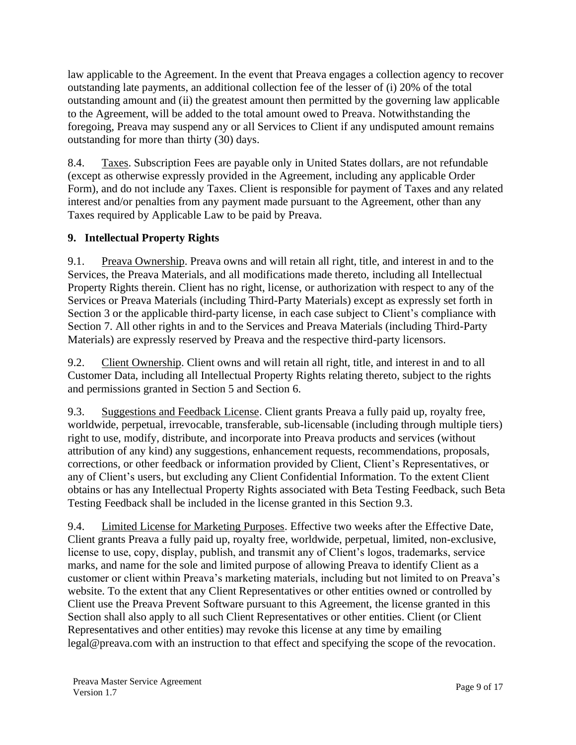law applicable to the Agreement. In the event that Preava engages a collection agency to recover outstanding late payments, an additional collection fee of the lesser of (i) 20% of the total outstanding amount and (ii) the greatest amount then permitted by the governing law applicable to the Agreement, will be added to the total amount owed to Preava. Notwithstanding the foregoing, Preava may suspend any or all Services to Client if any undisputed amount remains outstanding for more than thirty (30) days.

8.4. Taxes. Subscription Fees are payable only in United States dollars, are not refundable (except as otherwise expressly provided in the Agreement, including any applicable Order Form), and do not include any Taxes. Client is responsible for payment of Taxes and any related interest and/or penalties from any payment made pursuant to the Agreement, other than any Taxes required by Applicable Law to be paid by Preava.

# **9. Intellectual Property Rights**

9.1. Preava Ownership. Preava owns and will retain all right, title, and interest in and to the Services, the Preava Materials, and all modifications made thereto, including all Intellectual Property Rights therein. Client has no right, license, or authorization with respect to any of the Services or Preava Materials (including Third-Party Materials) except as expressly set forth in Section 3 or the applicable third-party license, in each case subject to Client's compliance with Section 7. All other rights in and to the Services and Preava Materials (including Third-Party Materials) are expressly reserved by Preava and the respective third-party licensors.

9.2. Client Ownership. Client owns and will retain all right, title, and interest in and to all Customer Data, including all Intellectual Property Rights relating thereto, subject to the rights and permissions granted in Section 5 and Section 6.

9.3. Suggestions and Feedback License. Client grants Preava a fully paid up, royalty free, worldwide, perpetual, irrevocable, transferable, sub-licensable (including through multiple tiers) right to use, modify, distribute, and incorporate into Preava products and services (without attribution of any kind) any suggestions, enhancement requests, recommendations, proposals, corrections, or other feedback or information provided by Client, Client's Representatives, or any of Client's users, but excluding any Client Confidential Information. To the extent Client obtains or has any Intellectual Property Rights associated with Beta Testing Feedback, such Beta Testing Feedback shall be included in the license granted in this Section 9.3.

9.4. Limited License for Marketing Purposes. Effective two weeks after the Effective Date, Client grants Preava a fully paid up, royalty free, worldwide, perpetual, limited, non-exclusive, license to use, copy, display, publish, and transmit any of Client's logos, trademarks, service marks, and name for the sole and limited purpose of allowing Preava to identify Client as a customer or client within Preava's marketing materials, including but not limited to on Preava's website. To the extent that any Client Representatives or other entities owned or controlled by Client use the Preava Prevent Software pursuant to this Agreement, the license granted in this Section shall also apply to all such Client Representatives or other entities. Client (or Client Representatives and other entities) may revoke this license at any time by emailing legal@preava.com with an instruction to that effect and specifying the scope of the revocation.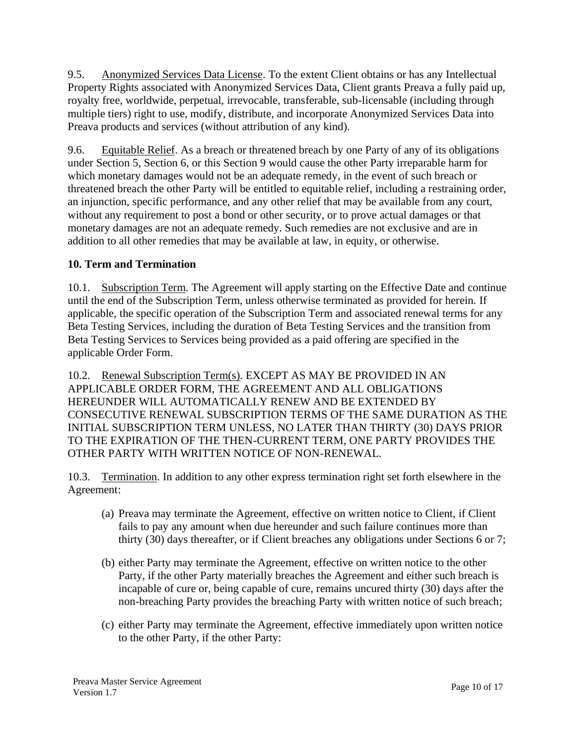9.5. Anonymized Services Data License. To the extent Client obtains or has any Intellectual Property Rights associated with Anonymized Services Data, Client grants Preava a fully paid up, royalty free, worldwide, perpetual, irrevocable, transferable, sub-licensable (including through multiple tiers) right to use, modify, distribute, and incorporate Anonymized Services Data into Preava products and services (without attribution of any kind).

9.6. Equitable Relief. As a breach or threatened breach by one Party of any of its obligations under Section 5, Section 6, or this Section 9 would cause the other Party irreparable harm for which monetary damages would not be an adequate remedy, in the event of such breach or threatened breach the other Party will be entitled to equitable relief, including a restraining order, an injunction, specific performance, and any other relief that may be available from any court, without any requirement to post a bond or other security, or to prove actual damages or that monetary damages are not an adequate remedy. Such remedies are not exclusive and are in addition to all other remedies that may be available at law, in equity, or otherwise.

## **10. Term and Termination**

10.1. Subscription Term. The Agreement will apply starting on the Effective Date and continue until the end of the Subscription Term, unless otherwise terminated as provided for herein. If applicable, the specific operation of the Subscription Term and associated renewal terms for any Beta Testing Services, including the duration of Beta Testing Services and the transition from Beta Testing Services to Services being provided as a paid offering are specified in the applicable Order Form.

10.2. Renewal Subscription Term(s). EXCEPT AS MAY BE PROVIDED IN AN APPLICABLE ORDER FORM, THE AGREEMENT AND ALL OBLIGATIONS HEREUNDER WILL AUTOMATICALLY RENEW AND BE EXTENDED BY CONSECUTIVE RENEWAL SUBSCRIPTION TERMS OF THE SAME DURATION AS THE INITIAL SUBSCRIPTION TERM UNLESS, NO LATER THAN THIRTY (30) DAYS PRIOR TO THE EXPIRATION OF THE THEN-CURRENT TERM, ONE PARTY PROVIDES THE OTHER PARTY WITH WRITTEN NOTICE OF NON-RENEWAL.

10.3. Termination. In addition to any other express termination right set forth elsewhere in the Agreement:

- (a) Preava may terminate the Agreement, effective on written notice to Client, if Client fails to pay any amount when due hereunder and such failure continues more than thirty (30) days thereafter, or if Client breaches any obligations under Sections 6 or 7;
- (b) either Party may terminate the Agreement, effective on written notice to the other Party, if the other Party materially breaches the Agreement and either such breach is incapable of cure or, being capable of cure, remains uncured thirty (30) days after the non-breaching Party provides the breaching Party with written notice of such breach;
- (c) either Party may terminate the Agreement, effective immediately upon written notice to the other Party, if the other Party: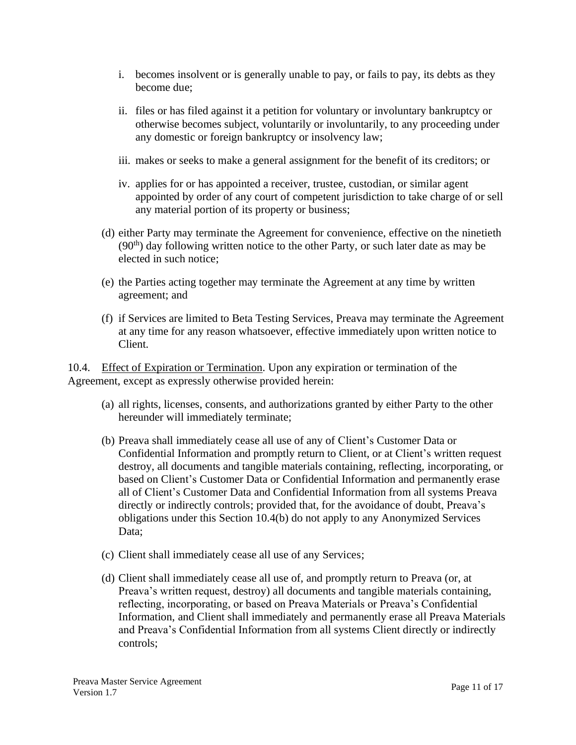- i. becomes insolvent or is generally unable to pay, or fails to pay, its debts as they become due;
- ii. files or has filed against it a petition for voluntary or involuntary bankruptcy or otherwise becomes subject, voluntarily or involuntarily, to any proceeding under any domestic or foreign bankruptcy or insolvency law;
- iii. makes or seeks to make a general assignment for the benefit of its creditors; or
- iv. applies for or has appointed a receiver, trustee, custodian, or similar agent appointed by order of any court of competent jurisdiction to take charge of or sell any material portion of its property or business;
- (d) either Party may terminate the Agreement for convenience, effective on the ninetieth  $(90<sup>th</sup>)$  day following written notice to the other Party, or such later date as may be elected in such notice;
- (e) the Parties acting together may terminate the Agreement at any time by written agreement; and
- (f) if Services are limited to Beta Testing Services, Preava may terminate the Agreement at any time for any reason whatsoever, effective immediately upon written notice to Client.

10.4. Effect of Expiration or Termination. Upon any expiration or termination of the Agreement, except as expressly otherwise provided herein:

- (a) all rights, licenses, consents, and authorizations granted by either Party to the other hereunder will immediately terminate;
- (b) Preava shall immediately cease all use of any of Client's Customer Data or Confidential Information and promptly return to Client, or at Client's written request destroy, all documents and tangible materials containing, reflecting, incorporating, or based on Client's Customer Data or Confidential Information and permanently erase all of Client's Customer Data and Confidential Information from all systems Preava directly or indirectly controls; provided that, for the avoidance of doubt, Preava's obligations under this Section 10.4(b) do not apply to any Anonymized Services Data:
- (c) Client shall immediately cease all use of any Services;
- (d) Client shall immediately cease all use of, and promptly return to Preava (or, at Preava's written request, destroy) all documents and tangible materials containing, reflecting, incorporating, or based on Preava Materials or Preava's Confidential Information, and Client shall immediately and permanently erase all Preava Materials and Preava's Confidential Information from all systems Client directly or indirectly controls;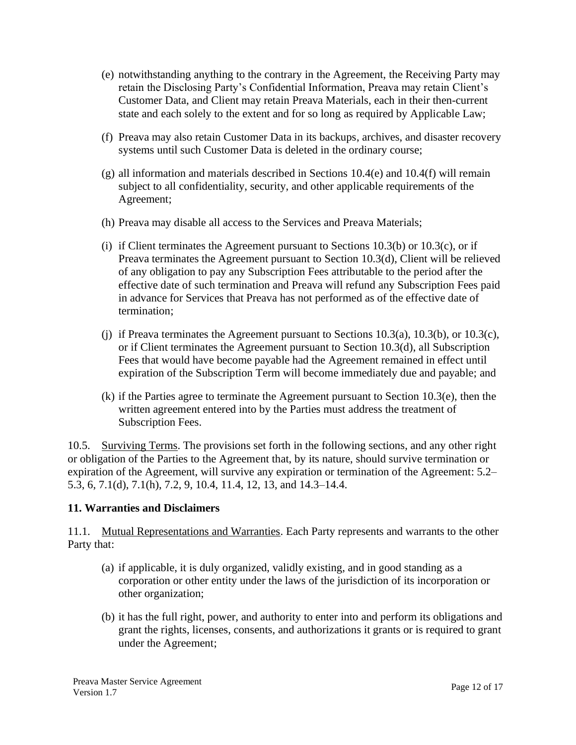- (e) notwithstanding anything to the contrary in the Agreement, the Receiving Party may retain the Disclosing Party's Confidential Information, Preava may retain Client's Customer Data, and Client may retain Preava Materials, each in their then-current state and each solely to the extent and for so long as required by Applicable Law;
- (f) Preava may also retain Customer Data in its backups, archives, and disaster recovery systems until such Customer Data is deleted in the ordinary course;
- (g) all information and materials described in Sections 10.4(e) and 10.4(f) will remain subject to all confidentiality, security, and other applicable requirements of the Agreement;
- (h) Preava may disable all access to the Services and Preava Materials;
- (i) if Client terminates the Agreement pursuant to Sections  $10.3(b)$  or  $10.3(c)$ , or if Preava terminates the Agreement pursuant to Section 10.3(d), Client will be relieved of any obligation to pay any Subscription Fees attributable to the period after the effective date of such termination and Preava will refund any Subscription Fees paid in advance for Services that Preava has not performed as of the effective date of termination;
- (i) if Preava terminates the Agreement pursuant to Sections 10.3(a), 10.3(b), or 10.3(c), or if Client terminates the Agreement pursuant to Section 10.3(d), all Subscription Fees that would have become payable had the Agreement remained in effect until expiration of the Subscription Term will become immediately due and payable; and
- (k) if the Parties agree to terminate the Agreement pursuant to Section 10.3(e), then the written agreement entered into by the Parties must address the treatment of Subscription Fees.

10.5. Surviving Terms. The provisions set forth in the following sections, and any other right or obligation of the Parties to the Agreement that, by its nature, should survive termination or expiration of the Agreement, will survive any expiration or termination of the Agreement: 5.2– 5.3, 6, 7.1(d), 7.1(h), 7.2, 9, 10.4, 11.4, 12, 13, and 14.3–14.4.

#### **11. Warranties and Disclaimers**

11.1. Mutual Representations and Warranties. Each Party represents and warrants to the other Party that:

- (a) if applicable, it is duly organized, validly existing, and in good standing as a corporation or other entity under the laws of the jurisdiction of its incorporation or other organization;
- (b) it has the full right, power, and authority to enter into and perform its obligations and grant the rights, licenses, consents, and authorizations it grants or is required to grant under the Agreement;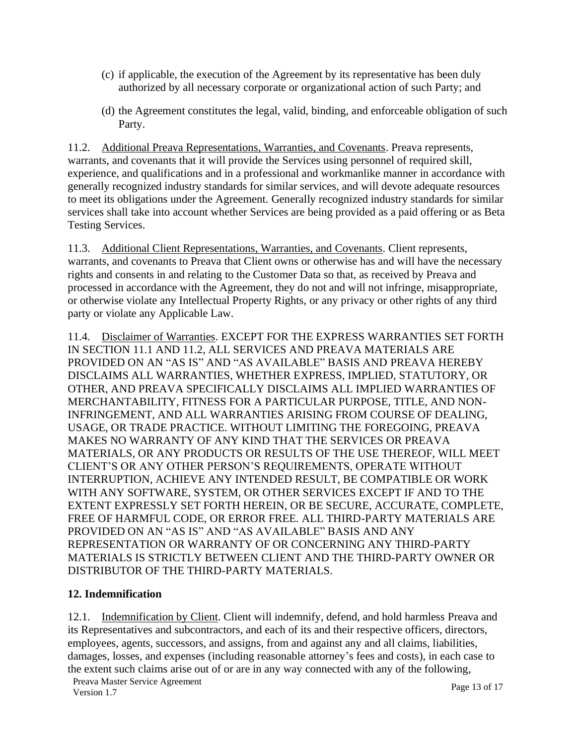- (c) if applicable, the execution of the Agreement by its representative has been duly authorized by all necessary corporate or organizational action of such Party; and
- (d) the Agreement constitutes the legal, valid, binding, and enforceable obligation of such Party.

11.2. Additional Preava Representations, Warranties, and Covenants. Preava represents, warrants, and covenants that it will provide the Services using personnel of required skill, experience, and qualifications and in a professional and workmanlike manner in accordance with generally recognized industry standards for similar services, and will devote adequate resources to meet its obligations under the Agreement. Generally recognized industry standards for similar services shall take into account whether Services are being provided as a paid offering or as Beta Testing Services.

11.3. Additional Client Representations, Warranties, and Covenants. Client represents, warrants, and covenants to Preava that Client owns or otherwise has and will have the necessary rights and consents in and relating to the Customer Data so that, as received by Preava and processed in accordance with the Agreement, they do not and will not infringe, misappropriate, or otherwise violate any Intellectual Property Rights, or any privacy or other rights of any third party or violate any Applicable Law.

11.4. Disclaimer of Warranties. EXCEPT FOR THE EXPRESS WARRANTIES SET FORTH IN SECTION 11.1 AND 11.2, ALL SERVICES AND PREAVA MATERIALS ARE PROVIDED ON AN "AS IS" AND "AS AVAILABLE" BASIS AND PREAVA HEREBY DISCLAIMS ALL WARRANTIES, WHETHER EXPRESS, IMPLIED, STATUTORY, OR OTHER, AND PREAVA SPECIFICALLY DISCLAIMS ALL IMPLIED WARRANTIES OF MERCHANTABILITY, FITNESS FOR A PARTICULAR PURPOSE, TITLE, AND NON-INFRINGEMENT, AND ALL WARRANTIES ARISING FROM COURSE OF DEALING, USAGE, OR TRADE PRACTICE. WITHOUT LIMITING THE FOREGOING, PREAVA MAKES NO WARRANTY OF ANY KIND THAT THE SERVICES OR PREAVA MATERIALS, OR ANY PRODUCTS OR RESULTS OF THE USE THEREOF, WILL MEET CLIENT'S OR ANY OTHER PERSON'S REQUIREMENTS, OPERATE WITHOUT INTERRUPTION, ACHIEVE ANY INTENDED RESULT, BE COMPATIBLE OR WORK WITH ANY SOFTWARE, SYSTEM, OR OTHER SERVICES EXCEPT IF AND TO THE EXTENT EXPRESSLY SET FORTH HEREIN, OR BE SECURE, ACCURATE, COMPLETE, FREE OF HARMFUL CODE, OR ERROR FREE. ALL THIRD-PARTY MATERIALS ARE PROVIDED ON AN "AS IS" AND "AS AVAILABLE" BASIS AND ANY REPRESENTATION OR WARRANTY OF OR CONCERNING ANY THIRD-PARTY MATERIALS IS STRICTLY BETWEEN CLIENT AND THE THIRD-PARTY OWNER OR DISTRIBUTOR OF THE THIRD-PARTY MATERIALS.

#### **12. Indemnification**

12.1. Indemnification by Client. Client will indemnify, defend, and hold harmless Preava and its Representatives and subcontractors, and each of its and their respective officers, directors, employees, agents, successors, and assigns, from and against any and all claims, liabilities, damages, losses, and expenses (including reasonable attorney's fees and costs), in each case to the extent such claims arise out of or are in any way connected with any of the following,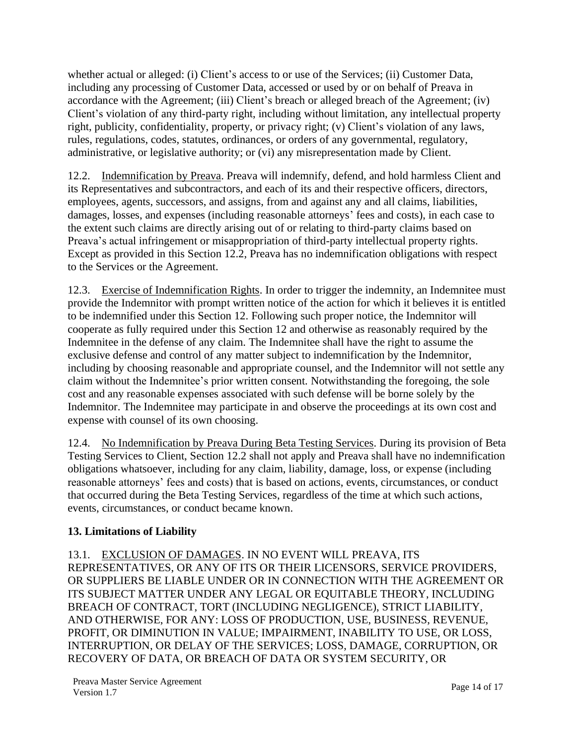whether actual or alleged: (i) Client's access to or use of the Services; (ii) Customer Data, including any processing of Customer Data, accessed or used by or on behalf of Preava in accordance with the Agreement; (iii) Client's breach or alleged breach of the Agreement; (iv) Client's violation of any third-party right, including without limitation, any intellectual property right, publicity, confidentiality, property, or privacy right; (v) Client's violation of any laws, rules, regulations, codes, statutes, ordinances, or orders of any governmental, regulatory, administrative, or legislative authority; or (vi) any misrepresentation made by Client.

12.2. Indemnification by Preava. Preava will indemnify, defend, and hold harmless Client and its Representatives and subcontractors, and each of its and their respective officers, directors, employees, agents, successors, and assigns, from and against any and all claims, liabilities, damages, losses, and expenses (including reasonable attorneys' fees and costs), in each case to the extent such claims are directly arising out of or relating to third-party claims based on Preava's actual infringement or misappropriation of third-party intellectual property rights. Except as provided in this Section 12.2, Preava has no indemnification obligations with respect to the Services or the Agreement.

12.3. Exercise of Indemnification Rights. In order to trigger the indemnity, an Indemnitee must provide the Indemnitor with prompt written notice of the action for which it believes it is entitled to be indemnified under this Section 12. Following such proper notice, the Indemnitor will cooperate as fully required under this Section 12 and otherwise as reasonably required by the Indemnitee in the defense of any claim. The Indemnitee shall have the right to assume the exclusive defense and control of any matter subject to indemnification by the Indemnitor, including by choosing reasonable and appropriate counsel, and the Indemnitor will not settle any claim without the Indemnitee's prior written consent. Notwithstanding the foregoing, the sole cost and any reasonable expenses associated with such defense will be borne solely by the Indemnitor. The Indemnitee may participate in and observe the proceedings at its own cost and expense with counsel of its own choosing.

12.4. No Indemnification by Preava During Beta Testing Services. During its provision of Beta Testing Services to Client, Section 12.2 shall not apply and Preava shall have no indemnification obligations whatsoever, including for any claim, liability, damage, loss, or expense (including reasonable attorneys' fees and costs) that is based on actions, events, circumstances, or conduct that occurred during the Beta Testing Services, regardless of the time at which such actions, events, circumstances, or conduct became known.

# **13. Limitations of Liability**

13.1. EXCLUSION OF DAMAGES. IN NO EVENT WILL PREAVA, ITS REPRESENTATIVES, OR ANY OF ITS OR THEIR LICENSORS, SERVICE PROVIDERS, OR SUPPLIERS BE LIABLE UNDER OR IN CONNECTION WITH THE AGREEMENT OR ITS SUBJECT MATTER UNDER ANY LEGAL OR EQUITABLE THEORY, INCLUDING BREACH OF CONTRACT, TORT (INCLUDING NEGLIGENCE), STRICT LIABILITY, AND OTHERWISE, FOR ANY: LOSS OF PRODUCTION, USE, BUSINESS, REVENUE, PROFIT, OR DIMINUTION IN VALUE; IMPAIRMENT, INABILITY TO USE, OR LOSS, INTERRUPTION, OR DELAY OF THE SERVICES; LOSS, DAMAGE, CORRUPTION, OR RECOVERY OF DATA, OR BREACH OF DATA OR SYSTEM SECURITY, OR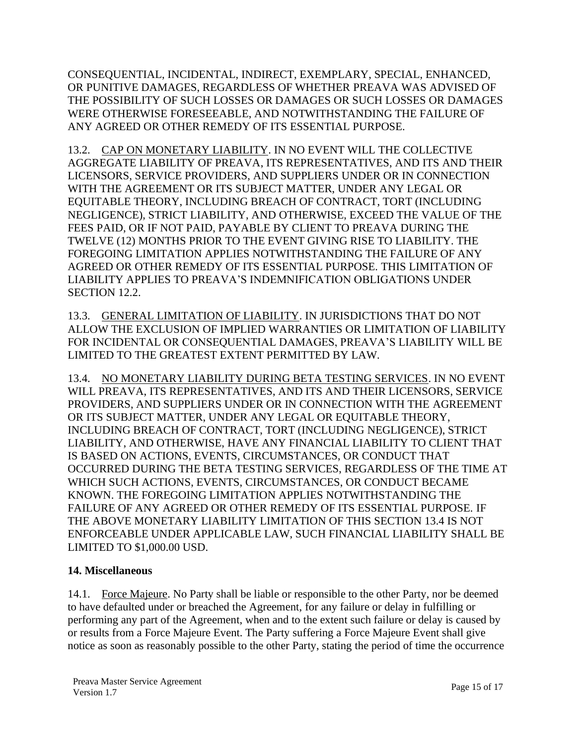CONSEQUENTIAL, INCIDENTAL, INDIRECT, EXEMPLARY, SPECIAL, ENHANCED, OR PUNITIVE DAMAGES, REGARDLESS OF WHETHER PREAVA WAS ADVISED OF THE POSSIBILITY OF SUCH LOSSES OR DAMAGES OR SUCH LOSSES OR DAMAGES WERE OTHERWISE FORESEEABLE, AND NOTWITHSTANDING THE FAILURE OF ANY AGREED OR OTHER REMEDY OF ITS ESSENTIAL PURPOSE.

13.2. CAP ON MONETARY LIABILITY. IN NO EVENT WILL THE COLLECTIVE AGGREGATE LIABILITY OF PREAVA, ITS REPRESENTATIVES, AND ITS AND THEIR LICENSORS, SERVICE PROVIDERS, AND SUPPLIERS UNDER OR IN CONNECTION WITH THE AGREEMENT OR ITS SUBJECT MATTER, UNDER ANY LEGAL OR EQUITABLE THEORY, INCLUDING BREACH OF CONTRACT, TORT (INCLUDING NEGLIGENCE), STRICT LIABILITY, AND OTHERWISE, EXCEED THE VALUE OF THE FEES PAID, OR IF NOT PAID, PAYABLE BY CLIENT TO PREAVA DURING THE TWELVE (12) MONTHS PRIOR TO THE EVENT GIVING RISE TO LIABILITY. THE FOREGOING LIMITATION APPLIES NOTWITHSTANDING THE FAILURE OF ANY AGREED OR OTHER REMEDY OF ITS ESSENTIAL PURPOSE. THIS LIMITATION OF LIABILITY APPLIES TO PREAVA'S INDEMNIFICATION OBLIGATIONS UNDER SECTION 12.2.

13.3. GENERAL LIMITATION OF LIABILITY. IN JURISDICTIONS THAT DO NOT ALLOW THE EXCLUSION OF IMPLIED WARRANTIES OR LIMITATION OF LIABILITY FOR INCIDENTAL OR CONSEQUENTIAL DAMAGES, PREAVA'S LIABILITY WILL BE LIMITED TO THE GREATEST EXTENT PERMITTED BY LAW.

13.4. NO MONETARY LIABILITY DURING BETA TESTING SERVICES. IN NO EVENT WILL PREAVA, ITS REPRESENTATIVES, AND ITS AND THEIR LICENSORS, SERVICE PROVIDERS, AND SUPPLIERS UNDER OR IN CONNECTION WITH THE AGREEMENT OR ITS SUBJECT MATTER, UNDER ANY LEGAL OR EQUITABLE THEORY, INCLUDING BREACH OF CONTRACT, TORT (INCLUDING NEGLIGENCE), STRICT LIABILITY, AND OTHERWISE, HAVE ANY FINANCIAL LIABILITY TO CLIENT THAT IS BASED ON ACTIONS, EVENTS, CIRCUMSTANCES, OR CONDUCT THAT OCCURRED DURING THE BETA TESTING SERVICES, REGARDLESS OF THE TIME AT WHICH SUCH ACTIONS, EVENTS, CIRCUMSTANCES, OR CONDUCT BECAME KNOWN. THE FOREGOING LIMITATION APPLIES NOTWITHSTANDING THE FAILURE OF ANY AGREED OR OTHER REMEDY OF ITS ESSENTIAL PURPOSE. IF THE ABOVE MONETARY LIABILITY LIMITATION OF THIS SECTION 13.4 IS NOT ENFORCEABLE UNDER APPLICABLE LAW, SUCH FINANCIAL LIABILITY SHALL BE LIMITED TO \$1,000.00 USD.

#### **14. Miscellaneous**

14.1. Force Majeure. No Party shall be liable or responsible to the other Party, nor be deemed to have defaulted under or breached the Agreement, for any failure or delay in fulfilling or performing any part of the Agreement, when and to the extent such failure or delay is caused by or results from a Force Majeure Event. The Party suffering a Force Majeure Event shall give notice as soon as reasonably possible to the other Party, stating the period of time the occurrence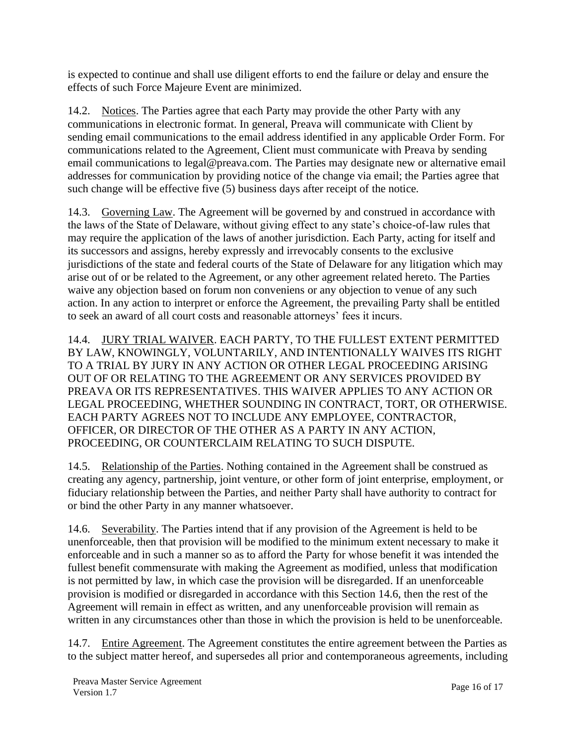is expected to continue and shall use diligent efforts to end the failure or delay and ensure the effects of such Force Majeure Event are minimized.

14.2. Notices. The Parties agree that each Party may provide the other Party with any communications in electronic format. In general, Preava will communicate with Client by sending email communications to the email address identified in any applicable Order Form. For communications related to the Agreement, Client must communicate with Preava by sending email communications to legal@preava.com. The Parties may designate new or alternative email addresses for communication by providing notice of the change via email; the Parties agree that such change will be effective five (5) business days after receipt of the notice.

14.3. Governing Law. The Agreement will be governed by and construed in accordance with the laws of the State of Delaware, without giving effect to any state's choice-of-law rules that may require the application of the laws of another jurisdiction. Each Party, acting for itself and its successors and assigns, hereby expressly and irrevocably consents to the exclusive jurisdictions of the state and federal courts of the State of Delaware for any litigation which may arise out of or be related to the Agreement, or any other agreement related hereto. The Parties waive any objection based on forum non conveniens or any objection to venue of any such action. In any action to interpret or enforce the Agreement, the prevailing Party shall be entitled to seek an award of all court costs and reasonable attorneys' fees it incurs.

14.4. JURY TRIAL WAIVER. EACH PARTY, TO THE FULLEST EXTENT PERMITTED BY LAW, KNOWINGLY, VOLUNTARILY, AND INTENTIONALLY WAIVES ITS RIGHT TO A TRIAL BY JURY IN ANY ACTION OR OTHER LEGAL PROCEEDING ARISING OUT OF OR RELATING TO THE AGREEMENT OR ANY SERVICES PROVIDED BY PREAVA OR ITS REPRESENTATIVES. THIS WAIVER APPLIES TO ANY ACTION OR LEGAL PROCEEDING, WHETHER SOUNDING IN CONTRACT, TORT, OR OTHERWISE. EACH PARTY AGREES NOT TO INCLUDE ANY EMPLOYEE, CONTRACTOR, OFFICER, OR DIRECTOR OF THE OTHER AS A PARTY IN ANY ACTION, PROCEEDING, OR COUNTERCLAIM RELATING TO SUCH DISPUTE.

14.5. Relationship of the Parties. Nothing contained in the Agreement shall be construed as creating any agency, partnership, joint venture, or other form of joint enterprise, employment, or fiduciary relationship between the Parties, and neither Party shall have authority to contract for or bind the other Party in any manner whatsoever.

14.6. Severability. The Parties intend that if any provision of the Agreement is held to be unenforceable, then that provision will be modified to the minimum extent necessary to make it enforceable and in such a manner so as to afford the Party for whose benefit it was intended the fullest benefit commensurate with making the Agreement as modified, unless that modification is not permitted by law, in which case the provision will be disregarded. If an unenforceable provision is modified or disregarded in accordance with this Section 14.6, then the rest of the Agreement will remain in effect as written, and any unenforceable provision will remain as written in any circumstances other than those in which the provision is held to be unenforceable.

14.7. Entire Agreement. The Agreement constitutes the entire agreement between the Parties as to the subject matter hereof, and supersedes all prior and contemporaneous agreements, including